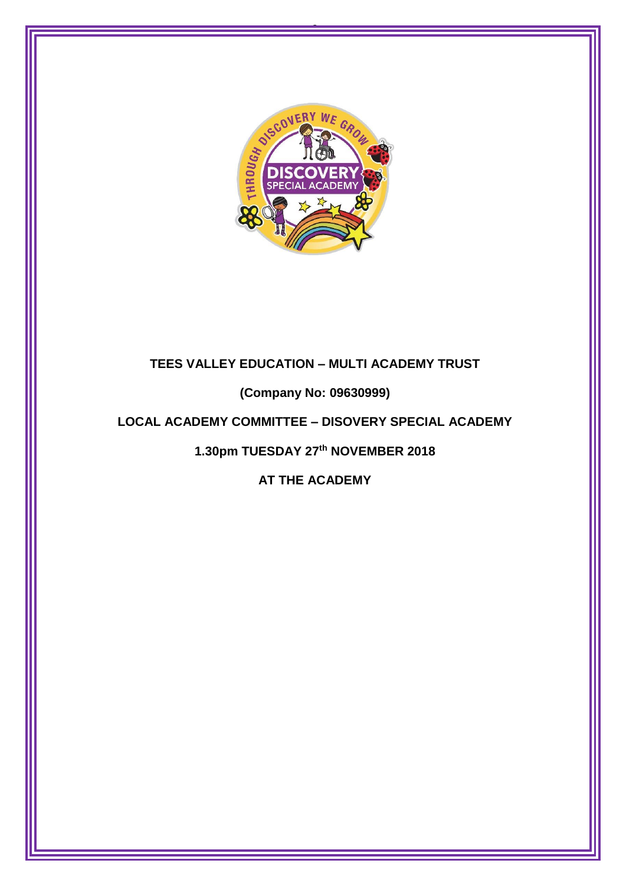

0

# **TEES VALLEY EDUCATION – MULTI ACADEMY TRUST**

**(Company No: 09630999)**

# **LOCAL ACADEMY COMMITTEE – DISOVERY SPECIAL ACADEMY**

**1.30pm TUESDAY 27th NOVEMBER 2018**

**AT THE ACADEMY**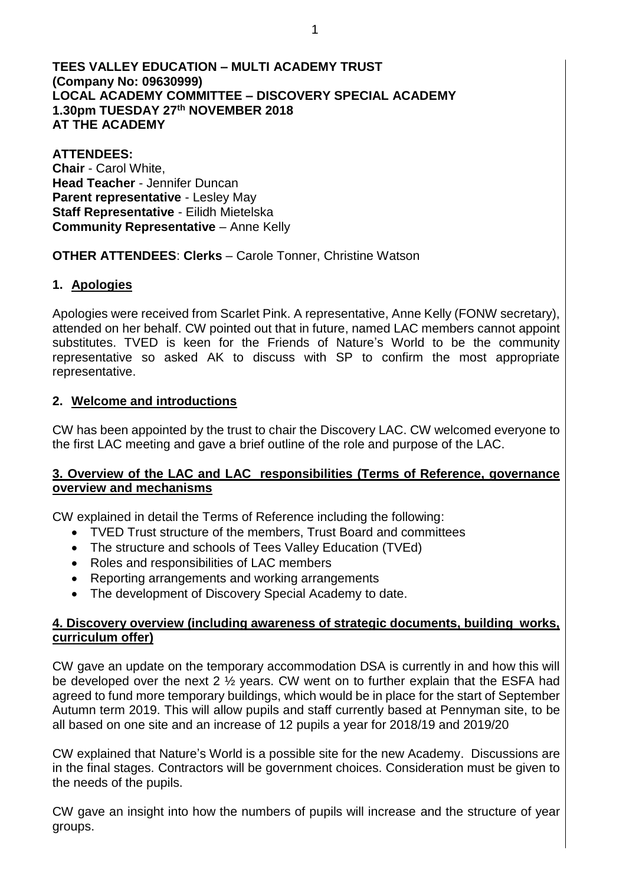### **TEES VALLEY EDUCATION – MULTI ACADEMY TRUST (Company No: 09630999) LOCAL ACADEMY COMMITTEE – DISCOVERY SPECIAL ACADEMY 1.30pm TUESDAY 27th NOVEMBER 2018 AT THE ACADEMY**

**ATTENDEES: Chair** - Carol White, **Head Teacher** - Jennifer Duncan **Parent representative** - Lesley May **Staff Representative** - Eilidh Mietelska **Community Representative** – Anne Kelly

### **OTHER ATTENDEES**: **Clerks** – Carole Tonner, Christine Watson

# **1. Apologies**

Apologies were received from Scarlet Pink. A representative, Anne Kelly (FONW secretary), attended on her behalf. CW pointed out that in future, named LAC members cannot appoint substitutes. TVED is keen for the Friends of Nature's World to be the community representative so asked AK to discuss with SP to confirm the most appropriate representative.

# **2. Welcome and introductions**

CW has been appointed by the trust to chair the Discovery LAC. CW welcomed everyone to the first LAC meeting and gave a brief outline of the role and purpose of the LAC.

### **3. Overview of the LAC and LAC responsibilities (Terms of Reference, governance overview and mechanisms**

CW explained in detail the Terms of Reference including the following:

- TVED Trust structure of the members, Trust Board and committees
- The structure and schools of Tees Valley Education (TVEd)
- Roles and responsibilities of LAC members
- Reporting arrangements and working arrangements
- The development of Discovery Special Academy to date.

# **4. Discovery overview (including awareness of strategic documents, building works, curriculum offer)**

CW gave an update on the temporary accommodation DSA is currently in and how this will be developed over the next 2 ½ years. CW went on to further explain that the ESFA had agreed to fund more temporary buildings, which would be in place for the start of September Autumn term 2019. This will allow pupils and staff currently based at Pennyman site, to be all based on one site and an increase of 12 pupils a year for 2018/19 and 2019/20

CW explained that Nature's World is a possible site for the new Academy. Discussions are in the final stages. Contractors will be government choices. Consideration must be given to the needs of the pupils.

CW gave an insight into how the numbers of pupils will increase and the structure of year groups.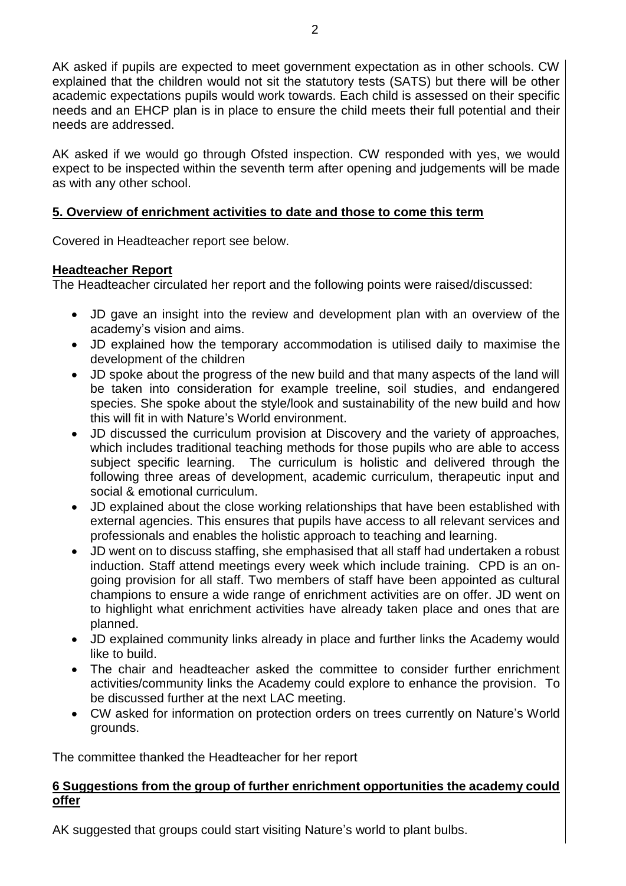AK asked if pupils are expected to meet government expectation as in other schools. CW explained that the children would not sit the statutory tests (SATS) but there will be other academic expectations pupils would work towards. Each child is assessed on their specific needs and an EHCP plan is in place to ensure the child meets their full potential and their needs are addressed.

AK asked if we would go through Ofsted inspection. CW responded with yes, we would expect to be inspected within the seventh term after opening and judgements will be made as with any other school.

# **5. Overview of enrichment activities to date and those to come this term**

Covered in Headteacher report see below.

# **Headteacher Report**

The Headteacher circulated her report and the following points were raised/discussed:

- JD gave an insight into the review and development plan with an overview of the academy's vision and aims.
- JD explained how the temporary accommodation is utilised daily to maximise the development of the children
- JD spoke about the progress of the new build and that many aspects of the land will be taken into consideration for example treeline, soil studies, and endangered species. She spoke about the style/look and sustainability of the new build and how this will fit in with Nature's World environment.
- JD discussed the curriculum provision at Discovery and the variety of approaches, which includes traditional teaching methods for those pupils who are able to access subject specific learning. The curriculum is holistic and delivered through the following three areas of development, academic curriculum, therapeutic input and social & emotional curriculum.
- JD explained about the close working relationships that have been established with external agencies. This ensures that pupils have access to all relevant services and professionals and enables the holistic approach to teaching and learning.
- JD went on to discuss staffing, she emphasised that all staff had undertaken a robust induction. Staff attend meetings every week which include training. CPD is an ongoing provision for all staff. Two members of staff have been appointed as cultural champions to ensure a wide range of enrichment activities are on offer. JD went on to highlight what enrichment activities have already taken place and ones that are planned.
- JD explained community links already in place and further links the Academy would like to build.
- The chair and headteacher asked the committee to consider further enrichment activities/community links the Academy could explore to enhance the provision. To be discussed further at the next LAC meeting.
- CW asked for information on protection orders on trees currently on Nature's World grounds.

The committee thanked the Headteacher for her report

### **6 Suggestions from the group of further enrichment opportunities the academy could offer**

AK suggested that groups could start visiting Nature's world to plant bulbs.